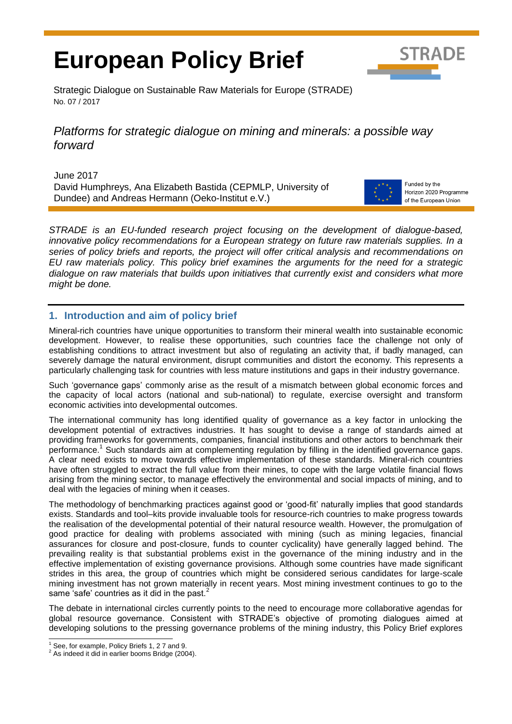# **European Policy Brief**



Strategic Dialogue on Sustainable Raw Materials for Europe (STRADE) No. 07 / 2017

## *Platforms for strategic dialogue on mining and minerals: a possible way forward*

June 2017 David Humphreys, Ana Elizabeth Bastida (CEPMLP, University of Dundee) and Andreas Hermann (Oeko-Institut e.V.)



Funded by the Horizon 2020 Programme of the European Union

*STRADE is an EU-funded research project focusing on the development of dialogue-based, innovative policy recommendations for a European strategy on future raw materials supplies. In a series of policy briefs and reports, the project will offer critical analysis and recommendations on EU raw materials policy. This policy brief examines the arguments for the need for a strategic dialogue on raw materials that builds upon initiatives that currently exist and considers what more might be done.*

## **1. Introduction and aim of policy brief**

Mineral-rich countries have unique opportunities to transform their mineral wealth into sustainable economic development. However, to realise these opportunities, such countries face the challenge not only of establishing conditions to attract investment but also of regulating an activity that, if badly managed, can severely damage the natural environment, disrupt communities and distort the economy. This represents a particularly challenging task for countries with less mature institutions and gaps in their industry governance.

Such 'governance gaps' commonly arise as the result of a mismatch between global economic forces and the capacity of local actors (national and sub-national) to regulate, exercise oversight and transform economic activities into developmental outcomes.

The international community has long identified quality of governance as a key factor in unlocking the development potential of extractives industries. It has sought to devise a range of standards aimed at providing frameworks for governments, companies, financial institutions and other actors to benchmark their performance.<sup>1</sup> Such standards aim at complementing regulation by filling in the identified governance gaps. A clear need exists to move towards effective implementation of these standards. Mineral-rich countries have often struggled to extract the full value from their mines, to cope with the large volatile financial flows arising from the mining sector, to manage effectively the environmental and social impacts of mining, and to deal with the legacies of mining when it ceases.

The methodology of benchmarking practices against good or 'good-fit' naturally implies that good standards exists. Standards and tool–kits provide invaluable tools for resource-rich countries to make progress towards the realisation of the developmental potential of their natural resource wealth. However, the promulgation of good practice for dealing with problems associated with mining (such as mining legacies, financial assurances for closure and post-closure, funds to counter cyclicality) have generally lagged behind. The prevailing reality is that substantial problems exist in the governance of the mining industry and in the effective implementation of existing governance provisions. Although some countries have made significant strides in this area, the group of countries which might be considered serious candidates for large-scale mining investment has not grown materially in recent years. Most mining investment continues to go to the same 'safe' countries as it did in the past.<sup>2</sup>

The debate in international circles currently points to the need to encourage more collaborative agendas for global resource governance. Consistent with STRADE's objective of promoting dialogues aimed at developing solutions to the pressing governance problems of the mining industry, this Policy Brief explores l

See, for example, Policy Briefs 1, 2 7 and 9.

<sup>&</sup>lt;sup>2</sup> As indeed it did in earlier booms Bridge (2004).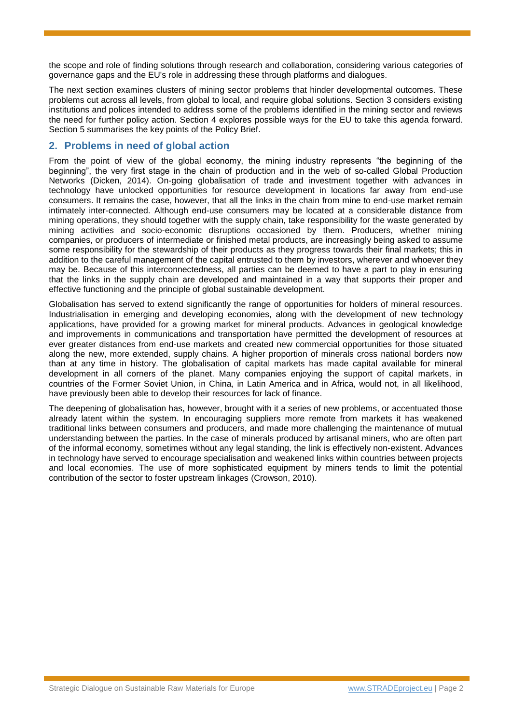the scope and role of finding solutions through research and collaboration, considering various categories of governance gaps and the EU's role in addressing these through platforms and dialogues.

The next section examines clusters of mining sector problems that hinder developmental outcomes. These problems cut across all levels, from global to local, and require global solutions. Section 3 considers existing institutions and polices intended to address some of the problems identified in the mining sector and reviews the need for further policy action. Section 4 explores possible ways for the EU to take this agenda forward. Section 5 summarises the key points of the Policy Brief.

## **2. Problems in need of global action**

From the point of view of the global economy, the mining industry represents "the beginning of the beginning", the very first stage in the chain of production and in the web of so-called Global Production Networks (Dicken, 2014). On-going globalisation of trade and investment together with advances in technology have unlocked opportunities for resource development in locations far away from end-use consumers. It remains the case, however, that all the links in the chain from mine to end-use market remain intimately inter-connected. Although end-use consumers may be located at a considerable distance from mining operations, they should together with the supply chain, take responsibility for the waste generated by mining activities and socio-economic disruptions occasioned by them. Producers, whether mining companies, or producers of intermediate or finished metal products, are increasingly being asked to assume some responsibility for the stewardship of their products as they progress towards their final markets; this in addition to the careful management of the capital entrusted to them by investors, wherever and whoever they may be. Because of this interconnectedness, all parties can be deemed to have a part to play in ensuring that the links in the supply chain are developed and maintained in a way that supports their proper and effective functioning and the principle of global sustainable development.

Globalisation has served to extend significantly the range of opportunities for holders of mineral resources. Industrialisation in emerging and developing economies, along with the development of new technology applications, have provided for a growing market for mineral products. Advances in geological knowledge and improvements in communications and transportation have permitted the development of resources at ever greater distances from end-use markets and created new commercial opportunities for those situated along the new, more extended, supply chains. A higher proportion of minerals cross national borders now than at any time in history. The globalisation of capital markets has made capital available for mineral development in all corners of the planet. Many companies enjoying the support of capital markets, in countries of the Former Soviet Union, in China, in Latin America and in Africa, would not, in all likelihood, have previously been able to develop their resources for lack of finance.

The deepening of globalisation has, however, brought with it a series of new problems, or accentuated those already latent within the system. In encouraging suppliers more remote from markets it has weakened traditional links between consumers and producers, and made more challenging the maintenance of mutual understanding between the parties. In the case of minerals produced by artisanal miners, who are often part of the informal economy, sometimes without any legal standing, the link is effectively non-existent. Advances in technology have served to encourage specialisation and weakened links within countries between projects and local economies. The use of more sophisticated equipment by miners tends to limit the potential contribution of the sector to foster upstream linkages (Crowson, 2010).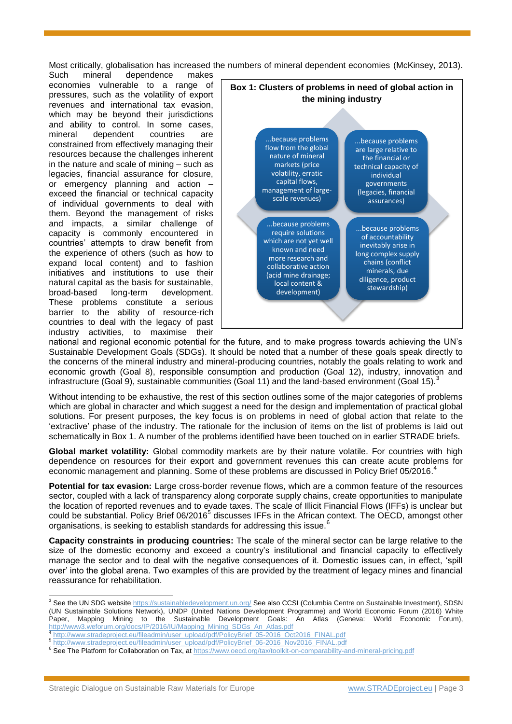Most critically, globalisation has increased the numbers of mineral dependent economies (McKinsey, 2013).

Such mineral dependence makes economies vulnerable to a range of pressures, such as the volatility of export revenues and international tax evasion, which may be beyond their jurisdictions and ability to control. In some cases, mineral dependent countries are constrained from effectively managing their resources because the challenges inherent in the nature and scale of mining – such as legacies, financial assurance for closure, or emergency planning and action – exceed the financial or technical capacity of individual governments to deal with them. Beyond the management of risks and impacts, a similar challenge of capacity is commonly encountered in countries' attempts to draw benefit from the experience of others (such as how to expand local content) and to fashion initiatives and institutions to use their natural capital as the basis for sustainable, broad-based long-term development. These problems constitute a serious barrier to the ability of resource-rich countries to deal with the legacy of past industry activities, to maximise their



national and regional economic potential for the future, and to make progress towards achieving the UN's Sustainable Development Goals (SDGs). It should be noted that a number of these goals speak directly to the concerns of the mineral industry and mineral-producing countries, notably the goals relating to work and economic growth (Goal 8), responsible consumption and production (Goal 12), industry, innovation and infrastructure (Goal 9), sustainable communities (Goal 11) and the land-based environment (Goal 15).

Without intending to be exhaustive, the rest of this section outlines some of the major categories of problems which are global in character and which suggest a need for the design and implementation of practical global solutions. For present purposes, the key focus is on problems in need of global action that relate to the 'extractive' phase of the industry. The rationale for the inclusion of items on the list of problems is laid out schematically in Box 1. A number of the problems identified have been touched on in earlier STRADE briefs.

**Global market volatility:** Global commodity markets are by their nature volatile. For countries with high dependence on resources for their export and government revenues this can create acute problems for economic management and planning. Some of these problems are discussed in Policy Brief 05/2016.<sup>4</sup>

**Potential for tax evasion:** Large cross-border revenue flows, which are a common feature of the resources sector, coupled with a lack of transparency along corporate supply chains, create opportunities to manipulate the location of reported revenues and to evade taxes. The scale of Illicit Financial Flows (IFFs) is unclear but could be substantial. Policy Brief 06/2016<sup>5</sup> discusses IFFs in the African context. The OECD, amongst other organisations, is seeking to establish standards for addressing this issue.<sup>6</sup>

**Capacity constraints in producing countries:** The scale of the mineral sector can be large relative to the size of the domestic economy and exceed a country's institutional and financial capacity to effectively manage the sector and to deal with the negative consequences of it. Domestic issues can, in effect, 'spill over' into the global arena. Two examples of this are provided by the treatment of legacy mines and financial reassurance for rehabilitation.

- [http://www.stradeproject.eu/fileadmin/user\\_upload/pdf/PolicyBrief\\_05-2016\\_Oct2016\\_FINAL.pdf](http://www.stradeproject.eu/fileadmin/user_upload/pdf/PolicyBrief_05-2016_Oct2016_FINAL.pdf)
- <sup>5</sup> [http://www.stradeproject.eu/fileadmin/user\\_upload/pdf/PolicyBrief\\_06-2016\\_Nov2016\\_FINAL.pdf](http://www.stradeproject.eu/fileadmin/user_upload/pdf/PolicyBrief_06-2016_Nov2016_FINAL.pdf)

l

<sup>&</sup>lt;sup>3</sup> See the UN SDG website<https://sustainabledevelopment.un.org/> See also CCSI (Columbia Centre on Sustainable Investment), SDSN (UN Sustainable Solutions Network), UNDP (United Nations Development Programme) and World Economic Forum (2016) White Paper, Mapping Mining to the Sustainable Development Goals: An Atlas (Geneva: World Economic Forum), [http://www3.weforum.org/docs/IP/2016/IU/Mapping\\_Mining\\_SDGs\\_An\\_Atlas.pdf](http://www3.weforum.org/docs/IP/2016/IU/Mapping_Mining_SDGs_An_Atlas.pdf)<br>4 http://www.etradepreject.or/fileadmin/veer\_uploa/Indf/Dalia:Prief\_05\_2016\_Os

<sup>&</sup>lt;sup>6</sup> See The Platform for Collaboration on Tax, at<https://www.oecd.org/tax/toolkit-on-comparability-and-mineral-pricing.pdf>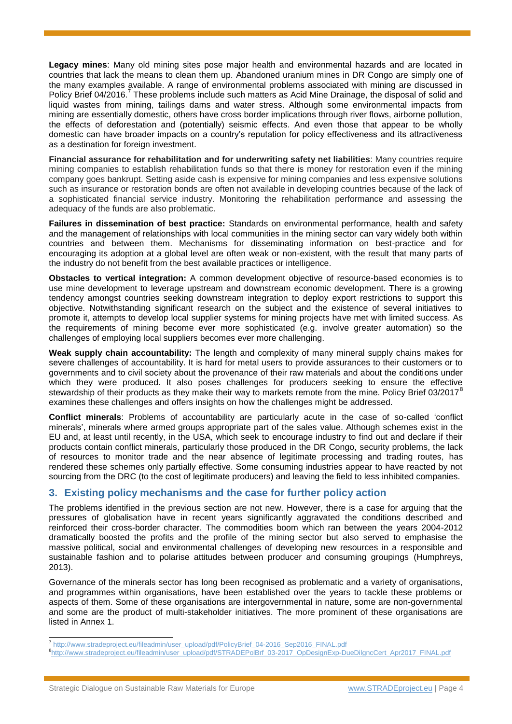**Legacy mines**: Many old mining sites pose major health and environmental hazards and are located in countries that lack the means to clean them up. Abandoned uranium mines in DR Congo are simply one of the many examples available. A range of environmental problems associated with mining are discussed in Policy Brief 04/2016.<sup>7</sup> These problems include such matters as Acid Mine Drainage, the disposal of solid and liquid wastes from mining, tailings dams and water stress. Although some environmental impacts from mining are essentially domestic, others have cross border implications through river flows, airborne pollution, the effects of deforestation and (potentially) seismic effects. And even those that appear to be wholly domestic can have broader impacts on a country's reputation for policy effectiveness and its attractiveness as a destination for foreign investment.

**Financial assurance for rehabilitation and for underwriting safety net liabilities**: Many countries require mining companies to establish rehabilitation funds so that there is money for restoration even if the mining company goes bankrupt. Setting aside cash is expensive for mining companies and less expensive solutions such as insurance or restoration bonds are often not available in developing countries because of the lack of a sophisticated financial service industry. Monitoring the rehabilitation performance and assessing the adequacy of the funds are also problematic.

**Failures in dissemination of best practice:** Standards on environmental performance, health and safety and the management of relationships with local communities in the mining sector can vary widely both within countries and between them. Mechanisms for disseminating information on best-practice and for encouraging its adoption at a global level are often weak or non-existent, with the result that many parts of the industry do not benefit from the best available practices or intelligence.

**Obstacles to vertical integration:** A common development objective of resource-based economies is to use mine development to leverage upstream and downstream economic development. There is a growing tendency amongst countries seeking downstream integration to deploy export restrictions to support this objective. Notwithstanding significant research on the subject and the existence of several initiatives to promote it, attempts to develop local supplier systems for mining projects have met with limited success. As the requirements of mining become ever more sophisticated (e.g. involve greater automation) so the challenges of employing local suppliers becomes ever more challenging.

**Weak supply chain accountability:** The length and complexity of many mineral supply chains makes for severe challenges of accountability. It is hard for metal users to provide assurances to their customers or to governments and to civil society about the provenance of their raw materials and about the conditions under which they were produced. It also poses challenges for producers seeking to ensure the effective stewardship of their products as they make their way to markets remote from the mine. Policy Brief 03/2017<sup>8</sup> examines these challenges and offers insights on how the challenges might be addressed.

**Conflict minerals**: Problems of accountability are particularly acute in the case of so-called 'conflict minerals', minerals where armed groups appropriate part of the sales value. Although schemes exist in the EU and, at least until recently, in the USA, which seek to encourage industry to find out and declare if their products contain conflict minerals, particularly those produced in the DR Congo, security problems, the lack of resources to monitor trade and the near absence of legitimate processing and trading routes, has rendered these schemes only partially effective. Some consuming industries appear to have reacted by not sourcing from the DRC (to the cost of legitimate producers) and leaving the field to less inhibited companies.

## **3. Existing policy mechanisms and the case for further policy action**

The problems identified in the previous section are not new. However, there is a case for arguing that the pressures of globalisation have in recent years significantly aggravated the conditions described and reinforced their cross-border character. The commodities boom which ran between the years 2004-2012 dramatically boosted the profits and the profile of the mining sector but also served to emphasise the massive political, social and environmental challenges of developing new resources in a responsible and sustainable fashion and to polarise attitudes between producer and consuming groupings (Humphreys, 2013).

Governance of the minerals sector has long been recognised as problematic and a variety of organisations, and programmes within organisations, have been established over the years to tackle these problems or aspects of them. Some of these organisations are intergovernmental in nature, some are non-governmental and some are the product of multi-stakeholder initiatives. The more prominent of these organisations are listed in Annex 1.

 7 [http://www.stradeproject.eu/fileadmin/user\\_upload/pdf/PolicyBrief\\_04-2016\\_Sep2016\\_FINAL.pdf](http://www.stradeproject.eu/fileadmin/user_upload/pdf/PolicyBrief_04-2016_Sep2016_FINAL.pdf)

<sup>8</sup> [http://www.stradeproject.eu/fileadmin/user\\_upload/pdf/STRADEPolBrf\\_03-2017\\_OpDesignExp-DueDilgncCert\\_Apr2017\\_FINAL.pdf](http://www.stradeproject.eu/fileadmin/user_upload/pdf/STRADEPolBrf_03-2017_OpDesignExp-DueDilgncCert_Apr2017_FINAL.pdf)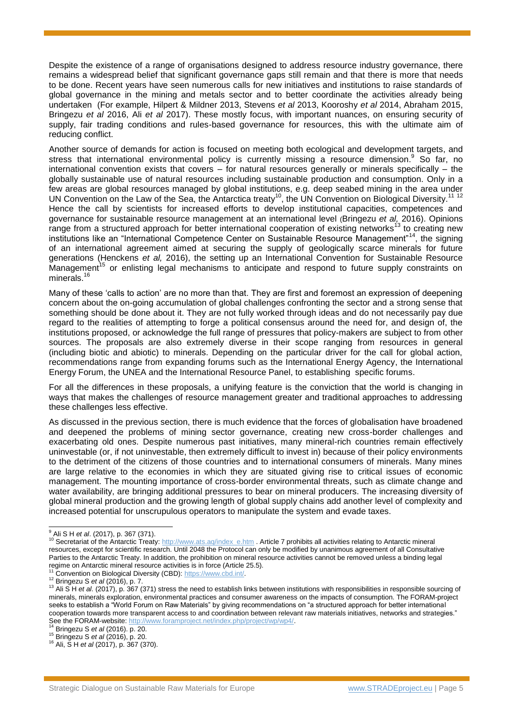Despite the existence of a range of organisations designed to address resource industry governance, there remains a widespread belief that significant governance gaps still remain and that there is more that needs to be done. Recent years have seen numerous calls for new initiatives and institutions to raise standards of global governance in the mining and metals sector and to better coordinate the activities already being undertaken (For example, Hilpert & Mildner 2013, Stevens *et al* 2013, Kooroshy *et al* 2014, Abraham 2015, Bringezu *et al* 2016, Ali *et al* 2017). These mostly focus, with important nuances, on ensuring security of supply, fair trading conditions and rules-based governance for resources, this with the ultimate aim of reducing conflict.

Another source of demands for action is focused on meeting both ecological and development targets, and stress that international environmental policy is currently missing a resource dimension.<sup>9</sup> So far, no international convention exists that covers – for natural resources generally or minerals specifically – the globally sustainable use of natural resources including sustainable production and consumption. Only in a few areas are global resources managed by global institutions, e.g. deep seabed mining in the area under UN Convention on the Law of the Sea, the Antarctica treaty<sup>10</sup>, the UN Convention on Biological Diversity.<sup>11 12</sup> Hence the call by scientists for increased efforts to develop institutional capacities, competences and governance for sustainable resource management at an international level (Bringezu *et al,* 2016). Opinions range from a structured approach for better international cooperation of existing networks<sup>13</sup> to creating new institutions like an "International Competence Center on Sustainable Resource Management"<sup>14</sup>, the signing of an international agreement aimed at securing the supply of geologically scarce minerals for future generations (Henckens *et al,* 2016), the setting up an International Convention for Sustainable Resource  $M$ anagement<sup>15</sup> or enlisting legal mechanisms to anticipate and respond to future supply constraints on minerals.<sup>16</sup>

Many of these 'calls to action' are no more than that. They are first and foremost an expression of deepening concern about the on-going accumulation of global challenges confronting the sector and a strong sense that something should be done about it. They are not fully worked through ideas and do not necessarily pay due regard to the realities of attempting to forge a political consensus around the need for, and design of, the institutions proposed, or acknowledge the full range of pressures that policy-makers are subject to from other sources. The proposals are also extremely diverse in their scope ranging from resources in general (including biotic and abiotic) to minerals. Depending on the particular driver for the call for global action, recommendations range from expanding forums such as the International Energy Agency, the International Energy Forum, the UNEA and the International Resource Panel, to establishing specific forums.

For all the differences in these proposals, a unifying feature is the conviction that the world is changing in ways that makes the challenges of resource management greater and traditional approaches to addressing these challenges less effective.

As discussed in the previous section, there is much evidence that the forces of globalisation have broadened and deepened the problems of mining sector governance, creating new cross-border challenges and exacerbating old ones. Despite numerous past initiatives, many mineral-rich countries remain effectively uninvestable (or, if not uninvestable, then extremely difficult to invest in) because of their policy environments to the detriment of the citizens of those countries and to international consumers of minerals. Many mines are large relative to the economies in which they are situated giving rise to critical issues of economic management. The mounting importance of cross-border environmental threats, such as climate change and water availability, are bringing additional pressures to bear on mineral producers. The increasing diversity of global mineral production and the growing length of global supply chains add another level of complexity and increased potential for unscrupulous operators to manipulate the system and evade taxes.

l

<sup>9</sup> Ali S H *et al*. (2017), p. 367 (371).

<sup>&</sup>lt;sup>10</sup> Secretariat of the Antarctic Treaty: [http://www.ats.aq/index\\_e.htm](http://www.ats.aq/index_e.htm) . Article 7 prohibits all activities relating to Antarctic mineral resources, except for scientific research. Until 2048 the Protocol can only be modified by unanimous agreement of all Consultative Parties to the Antarctic Treaty. In addition, the prohibition on mineral resource activities cannot be removed unless a binding legal regime on Antarctic mineral resource activities is in force (Article 25.5).

Convention on Biological Diversity (CBD): [https://www.cbd.int/.](https://www.cbd.int/)

<sup>12</sup> Bringezu S *et al* (2016), p. 7.

<sup>&</sup>lt;sup>13</sup> Ali S H et al. (2017), p. 367 (371) stress the need to establish links between institutions with responsibilities in responsible sourcing of minerals, minerals exploration, environmental practices and consumer awareness on the impacts of consumption. The FORAM-project seeks to establish a "World Forum on Raw Materials" by giving recommendations on "a structured approach for better international cooperation towards more transparent access to and coordination between relevant raw materials initiatives, networks and strategies." See the FORAM-website: [http://www.foramproject.net/index.php/project/wp/wp4/.](http://www.foramproject.net/index.php/project/wp/wp4/)

<sup>14</sup> Bringezu S *et al* (2016). p. 20.

<sup>15</sup> Bringezu S *et al* (2016), p. 20.

<sup>16</sup> Ali, S H *et al* (2017), p. 367 (370).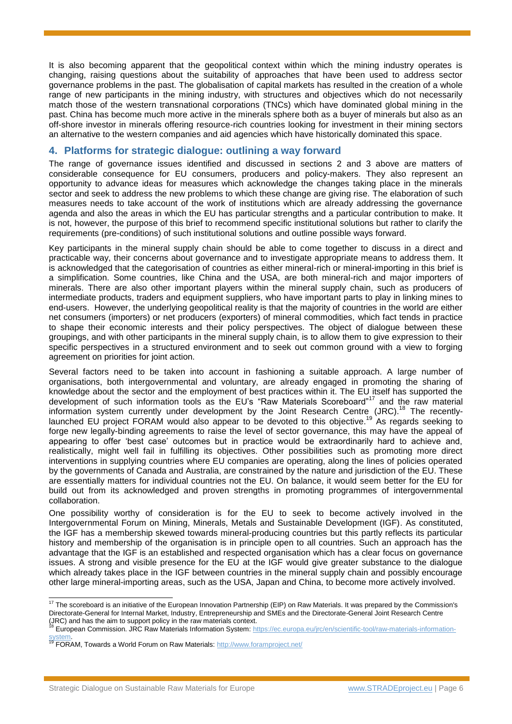It is also becoming apparent that the geopolitical context within which the mining industry operates is changing, raising questions about the suitability of approaches that have been used to address sector governance problems in the past. The globalisation of capital markets has resulted in the creation of a whole range of new participants in the mining industry, with structures and objectives which do not necessarily match those of the western transnational corporations (TNCs) which have dominated global mining in the past. China has become much more active in the minerals sphere both as a buyer of minerals but also as an off-shore investor in minerals offering resource-rich countries looking for investment in their mining sectors an alternative to the western companies and aid agencies which have historically dominated this space.

### **4. Platforms for strategic dialogue: outlining a way forward**

The range of governance issues identified and discussed in sections 2 and 3 above are matters of considerable consequence for EU consumers, producers and policy-makers. They also represent an opportunity to advance ideas for measures which acknowledge the changes taking place in the minerals sector and seek to address the new problems to which these change are giving rise. The elaboration of such measures needs to take account of the work of institutions which are already addressing the governance agenda and also the areas in which the EU has particular strengths and a particular contribution to make. It is not, however, the purpose of this brief to recommend specific institutional solutions but rather to clarify the requirements (pre-conditions) of such institutional solutions and outline possible ways forward.

Key participants in the mineral supply chain should be able to come together to discuss in a direct and practicable way, their concerns about governance and to investigate appropriate means to address them. It is acknowledged that the categorisation of countries as either mineral-rich or mineral-importing in this brief is a simplification. Some countries, like China and the USA, are both mineral-rich and major importers of minerals. There are also other important players within the mineral supply chain, such as producers of intermediate products, traders and equipment suppliers, who have important parts to play in linking mines to end-users. However, the underlying geopolitical reality is that the majority of countries in the world are either net consumers (importers) or net producers (exporters) of mineral commodities, which fact tends in practice to shape their economic interests and their policy perspectives. The object of dialogue between these groupings, and with other participants in the mineral supply chain, is to allow them to give expression to their specific perspectives in a structured environment and to seek out common ground with a view to forging agreement on priorities for joint action.

Several factors need to be taken into account in fashioning a suitable approach. A large number of organisations, both intergovernmental and voluntary, are already engaged in promoting the sharing of knowledge about the sector and the employment of best practices within it. The EU itself has supported the development of such information tools as the EU's "Raw Materials Scoreboard"<sup>17</sup> and the raw material information system currently under development by the Joint Research Centre (JRC).<sup>18</sup> The recentlylaunched EU project FORAM would also appear to be devoted to this objective.<sup>19</sup> As regards seeking to forge new legally-binding agreements to raise the level of sector governance, this may have the appeal of appearing to offer 'best case' outcomes but in practice would be extraordinarily hard to achieve and, realistically, might well fail in fulfilling its objectives. Other possibilities such as promoting more direct interventions in supplying countries where EU companies are operating, along the lines of policies operated by the governments of Canada and Australia, are constrained by the nature and jurisdiction of the EU. These are essentially matters for individual countries not the EU. On balance, it would seem better for the EU for build out from its acknowledged and proven strengths in promoting programmes of intergovernmental collaboration.

One possibility worthy of consideration is for the EU to seek to become actively involved in the Intergovernmental Forum on Mining, Minerals, Metals and Sustainable Development (IGF). As constituted, the IGF has a membership skewed towards mineral-producing countries but this partly reflects its particular history and membership of the organisation is in principle open to all countries. Such an approach has the advantage that the IGF is an established and respected organisation which has a clear focus on governance issues. A strong and visible presence for the EU at the IGF would give greater substance to the dialogue which already takes place in the IGF between countries in the mineral supply chain and possibly encourage other large mineral-importing areas, such as the USA, Japan and China, to become more actively involved.

l  $17$  The scoreboard is an initiative of the European Innovation Partnership (EIP) on Raw Materials. It was prepared by the Commission's Directorate-General for Internal Market, Industry, Entrepreneurship and SMEs and the Directorate-General Joint Research Centre (JRC) and has the aim to support policy in the raw materials context.

<sup>&</sup>lt;sup>3</sup> European Commission. JRC Raw Materials Information System: [https://ec.europa.eu/jrc/en/scientific-tool/raw-materials-information-](https://ec.europa.eu/jrc/en/scientific-tool/raw-materials-information-system)

[system.](https://ec.europa.eu/jrc/en/scientific-tool/raw-materials-information-system)<br><sup>19</sup> FORAM, Towards a World Forum on Raw Materials: <u><http://www.foramproject.net/></u>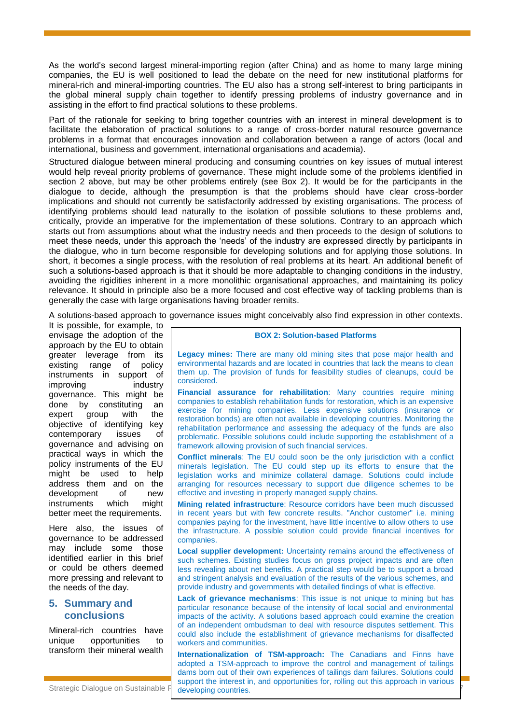As the world's second largest mineral-importing region (after China) and as home to many large mining companies, the EU is well positioned to lead the debate on the need for new institutional platforms for mineral-rich and mineral-importing countries. The EU also has a strong self-interest to bring participants in the global mineral supply chain together to identify pressing problems of industry governance and in assisting in the effort to find practical solutions to these problems.

Part of the rationale for seeking to bring together countries with an interest in mineral development is to facilitate the elaboration of practical solutions to a range of cross-border natural resource governance problems in a format that encourages innovation and collaboration between a range of actors (local and international, business and government, international organisations and academia).

Structured dialogue between mineral producing and consuming countries on key issues of mutual interest would help reveal priority problems of governance. These might include some of the problems identified in section 2 above, but may be other problems entirely (see Box 2). It would be for the participants in the dialogue to decide, although the presumption is that the problems should have clear cross-border implications and should not currently be satisfactorily addressed by existing organisations. The process of identifying problems should lead naturally to the isolation of possible solutions to these problems and, critically, provide an imperative for the implementation of these solutions. Contrary to an approach which starts out from assumptions about what the industry needs and then proceeds to the design of solutions to meet these needs, under this approach the 'needs' of the industry are expressed directly by participants in the dialogue, who in turn become responsible for developing solutions and for applying those solutions. In short, it becomes a single process, with the resolution of real problems at its heart. An additional benefit of such a solutions-based approach is that it should be more adaptable to changing conditions in the industry, avoiding the rigidities inherent in a more monolithic organisational approaches, and maintaining its policy relevance. It should in principle also be a more focused and cost effective way of tackling problems than is generally the case with large organisations having broader remits.

A solutions-based approach to governance issues might conceivably also find expression in other contexts.

It is possible, for example, to envisage the adoption of the approach by the EU to obtain greater leverage from its existing range of policy instruments in support of improving industry governance. This might be done by constituting an expert group with the objective of identifying key contemporary issues of governance and advising on practical ways in which the policy instruments of the EU might be used to help address them and on the development of new instruments which might better meet the requirements.

Here also, the issues of governance to be addressed may include some those identified earlier in this brief or could be others deemed more pressing and relevant to the needs of the day.

## **5. Summary and conclusions**

Mineral-rich countries have unique opportunities to transform their mineral wealth

#### **BOX 2: Solution-based Platforms**

**Legacy mines:** There are many old mining sites that pose major health and environmental hazards and are located in countries that lack the means to clean them up. The provision of funds for feasibility studies of cleanups, could be considered.

**Financial assurance for rehabilitation**: Many countries require mining companies to establish rehabilitation funds for restoration, which is an expensive exercise for mining companies. Less expensive solutions (insurance or restoration bonds) are often not available in developing countries. Monitoring the rehabilitation performance and assessing the adequacy of the funds are also problematic. Possible solutions could include supporting the establishment of a framework allowing provision of such financial services.

**Conflict minerals:** The EU could soon be the only jurisdiction with a conflict minerals legislation. The EU could step up its efforts to ensure that the legislation works and minimize collateral damage. Solutions could include arranging for resources necessary to support due diligence schemes to be effective and investing in properly managed supply chains.

**Mining related infrastructure**: Resource corridors have been much discussed in recent years but with few concrete results. "Anchor customer" i.e. mining companies paying for the investment, have little incentive to allow others to use the infrastructure. A possible solution could provide financial incentives for companies.

**Local supplier development:** Uncertainty remains around the effectiveness of such schemes. Existing studies focus on gross project impacts and are often less revealing about net benefits. A practical step would be to support a broad and stringent analysis and evaluation of the results of the various schemes, and provide industry and governments with detailed findings of what is effective.

**Lack of grievance mechanisms**: This issue is not unique to mining but has particular resonance because of the intensity of local social and environmental impacts of the activity. A solutions based approach could examine the creation of an independent ombudsman to deal with resource disputes settlement. This could also include the establishment of grievance mechanisms for disaffected workers and communities.

**Internationalization of TSM-approach:** The Canadians and Finns have adopted a TSM-approach to improve the control and management of tailings dams born out of their own experiences of tailings dam failures. Solutions could support the interest in, and opportunities for, rolling out this approach in various developing countries.

Strategic Dialogue on Sustainable I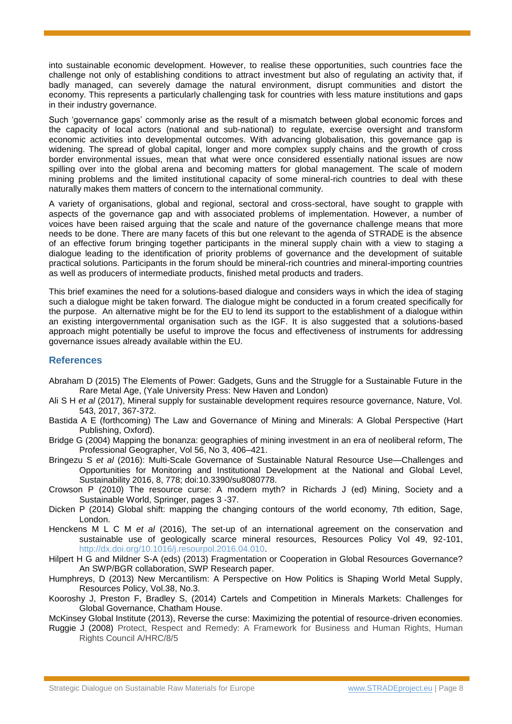into sustainable economic development. However, to realise these opportunities, such countries face the challenge not only of establishing conditions to attract investment but also of regulating an activity that, if badly managed, can severely damage the natural environment, disrupt communities and distort the economy. This represents a particularly challenging task for countries with less mature institutions and gaps in their industry governance.

Such 'governance gaps' commonly arise as the result of a mismatch between global economic forces and the capacity of local actors (national and sub-national) to regulate, exercise oversight and transform economic activities into developmental outcomes. With advancing globalisation, this governance gap is widening. The spread of global capital, longer and more complex supply chains and the growth of cross border environmental issues, mean that what were once considered essentially national issues are now spilling over into the global arena and becoming matters for global management. The scale of modern mining problems and the limited institutional capacity of some mineral-rich countries to deal with these naturally makes them matters of concern to the international community.

A variety of organisations, global and regional, sectoral and cross-sectoral, have sought to grapple with aspects of the governance gap and with associated problems of implementation. However, a number of voices have been raised arguing that the scale and nature of the governance challenge means that more needs to be done. There are many facets of this but one relevant to the agenda of STRADE is the absence of an effective forum bringing together participants in the mineral supply chain with a view to staging a dialogue leading to the identification of priority problems of governance and the development of suitable practical solutions. Participants in the forum should be mineral-rich countries and mineral-importing countries as well as producers of intermediate products, finished metal products and traders.

This brief examines the need for a solutions-based dialogue and considers ways in which the idea of staging such a dialogue might be taken forward. The dialogue might be conducted in a forum created specifically for the purpose. An alternative might be for the EU to lend its support to the establishment of a dialogue within an existing intergovernmental organisation such as the IGF. It is also suggested that a solutions-based approach might potentially be useful to improve the focus and effectiveness of instruments for addressing governance issues already available within the EU.

## **References**

- Abraham D (2015) The Elements of Power: Gadgets, Guns and the Struggle for a Sustainable Future in the Rare Metal Age, (Yale University Press: New Haven and London)
- Ali S H *et al* (2017), Mineral supply for sustainable development requires resource governance, Nature, Vol. 543, 2017, 367-372.
- Bastida A E (forthcoming) The Law and Governance of Mining and Minerals: A Global Perspective (Hart Publishing, Oxford).
- Bridge G (2004) Mapping the bonanza: geographies of mining investment in an era of neoliberal reform, The Professional Geographer, Vol 56, No 3, 406–421.
- Bringezu S *et al* (2016): Multi-Scale Governance of Sustainable Natural Resource Use—Challenges and Opportunities for Monitoring and Institutional Development at the National and Global Level, Sustainability 2016, 8, 778; doi:10.3390/su8080778.
- Crowson P (2010) The resource curse: A modern myth? in Richards J (ed) Mining, Society and a Sustainable World, Springer, pages 3 -37.
- Dicken P (2014) Global shift: mapping the changing contours of the world economy, 7th edition, Sage, London.
- Henckens M L C M *et al* (2016), The set-up of an international agreement on the conservation and sustainable use of geologically scarce mineral resources, Resources Policy Vol 49, 92-101, http://dx.doi.org/10.1016/j.resourpol.2016.04.010.
- Hilpert H G and Mildner S-A (eds) (2013) Fragmentation or Cooperation in Global Resources Governance? An SWP/BGR collaboration, SWP Research paper.
- Humphreys, D (2013) New Mercantilism: A Perspective on How Politics is Shaping World Metal Supply, Resources Policy, Vol.38, No.3.
- Kooroshy J, Preston F, Bradley S, (2014) Cartels and Competition in Minerals Markets: Challenges for Global Governance, Chatham House.
- McKinsey Global Institute (2013), Reverse the curse: Maximizing the potential of resource-driven economies.
- Ruggie J (2008) Protect, Respect and Remedy: A Framework for Business and Human Rights, Human Rights Council A/HRC/8/5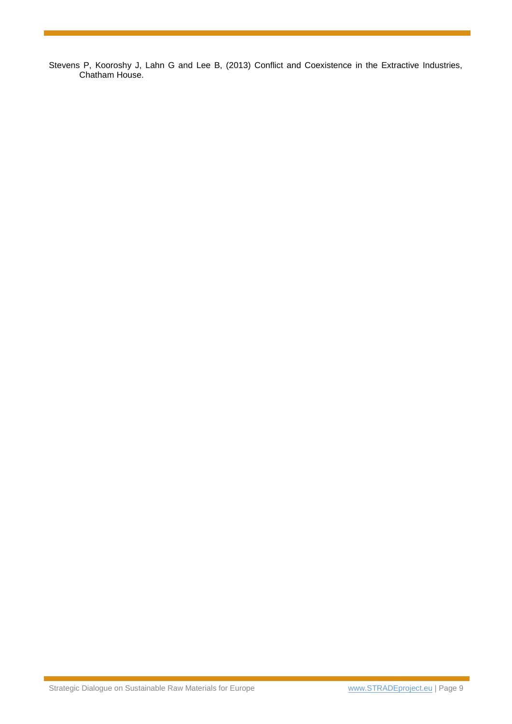Stevens P, Kooroshy J, Lahn G and Lee B, (2013) Conflict and Coexistence in the Extractive Industries, Chatham House.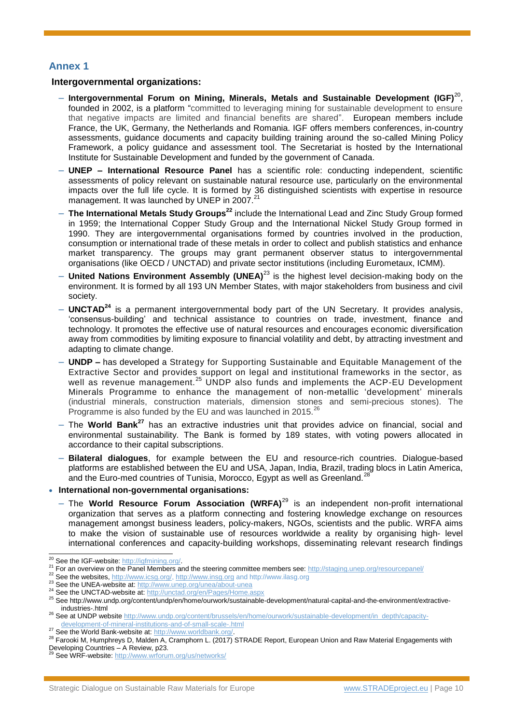## **Annex 1**

#### **Intergovernmental organizations:**

- ‒ **Intergovernmental Forum on Mining, Minerals, Metals and Sustainable Development (IGF)**<sup>20</sup> , founded in 2002, is a platform "committed to leveraging mining for sustainable development to ensure that negative impacts are limited and financial benefits are shared". European members include France, the UK, Germany, the Netherlands and Romania. IGF offers members conferences, in-country assessments, guidance documents and capacity building training around the so-called Mining Policy Framework, a policy guidance and assessment tool. The Secretariat is hosted by the International Institute for Sustainable Development and funded by the government of Canada.
- ‒ **UNEP – International Resource Panel** has a scientific role: conducting independent, scientific assessments of policy relevant on sustainable natural resource use, particularly on the environmental impacts over the full life cycle. It is formed by 36 distinguished scientists with expertise in resource management. It was launched by UNEP in 2007.<sup>21</sup>
- ‒ **The International Metals Study Groups<sup>22</sup>** include the International Lead and Zinc Study Group formed in 1959; the International Copper Study Group and the International Nickel Study Group formed in 1990. They are intergovernmental organisations formed by countries involved in the production, consumption or international trade of these metals in order to collect and publish statistics and enhance market transparency. The groups may grant permanent observer status to intergovernmental organisations (like OECD / UNCTAD) and private sector institutions (including Eurometaux, ICMM).
- ‒ **United Nations Environment Assembly (UNEA)**<sup>23</sup> is the highest level decision-making body on the environment. It is formed by all 193 UN Member States, with major stakeholders from business and civil society.
- ‒ **UNCTAD<sup>24</sup>** is a permanent intergovernmental body part of the UN Secretary. It provides analysis, 'consensus-building' and technical assistance to countries on trade, investment, finance and technology. It promotes the effective use of natural resources and encourages economic diversification away from commodities by limiting exposure to financial volatility and debt, by attracting investment and adapting to climate change.
- ‒ **UNDP –** has developed a Strategy for Supporting Sustainable and Equitable Management of the Extractive Sector and provides support on legal and institutional frameworks in the sector, as well as revenue management.<sup>25</sup> UNDP also funds and implements the ACP-EU Development Minerals Programme to enhance the management of non-metallic 'development' minerals (industrial minerals, construction materials, dimension stones and semi-precious stones). The Programme is also funded by the EU and was launched in 2015. $^{26}$
- ‒ The **World Bank<sup>27</sup>** has an extractive industries unit that provides advice on financial, social and environmental sustainability. The Bank is formed by 189 states, with voting powers allocated in accordance to their capital subscriptions.
- ‒ **Bilateral dialogues**, for example between the EU and resource-rich countries. Dialogue-based platforms are established between the EU and USA, Japan, India, Brazil, trading blocs in Latin America, and the Euro-med countries of Tunisia, Morocco, Egypt as well as Greenland.<sup>2</sup>

#### **International non-governmental organisations:**

‒ The **World Resource Forum Association (WRFA)**<sup>29</sup> is an independent non-profit international organization that serves as a platform connecting and fostering knowledge exchange on resources management amongst business leaders, policy-makers, NGOs, scientists and the public. WRFA aims to make the vision of sustainable use of resources worldwide a reality by organising high- level international conferences and capacity-building workshops, disseminating relevant research findings

l <sup>20</sup> See the IGF-website: [http://igfmining.org/.](http://igfmining.org/)

<sup>21</sup> For an overview on the Panel Members and the steering committee members see:<http://staging.unep.org/resourcepanel/>

<sup>&</sup>lt;sup>22</sup> See the websites, [http://www.icsg.org/,](http://www.icsg.org/) [http://www.insg.org](http://www.insg.org/) and http://www.ilasg.org

<sup>&</sup>lt;sup>23</sup> See the UNEA-website at:<http://www.unep.org/unea/about-unea>

<sup>&</sup>lt;sup>24</sup> See the UNCTAD-website at:<http://unctad.org/en/Pages/Home.aspx>

<sup>25</sup> See http://www.undp.org/content/undp/en/home/ourwork/sustainable-development/natural-capital-and-the-environment/extractiveindustries-.html

<sup>26</sup> See at UNDP websit[e http://www.undp.org/content/brussels/en/home/ourwork/sustainable-development/in\\_depth/capacity](http://www.undp.org/content/brussels/en/home/ourwork/sustainable-development/in_depth/capacity-development-of-mineral-institutions-and-of-small-scale-.html)[development-of-mineral-institutions-and-of-small-scale-.html](http://www.undp.org/content/brussels/en/home/ourwork/sustainable-development/in_depth/capacity-development-of-mineral-institutions-and-of-small-scale-.html)

<sup>&</sup>lt;sup>27</sup> See the World Bank-website at: [http://www.worldbank.org/.](http://www.worldbank.org/)

<sup>&</sup>lt;sup>28</sup> Farooki M, Humphreys D, Malden A, Cramphorn L. (2017) STRADE Report, European Union and Raw Material Engagements with Developing Countries – A Review, p23.<br><sup>29</sup> See WRF-website: <u>http://www.wrforum.org/us/networks</u>/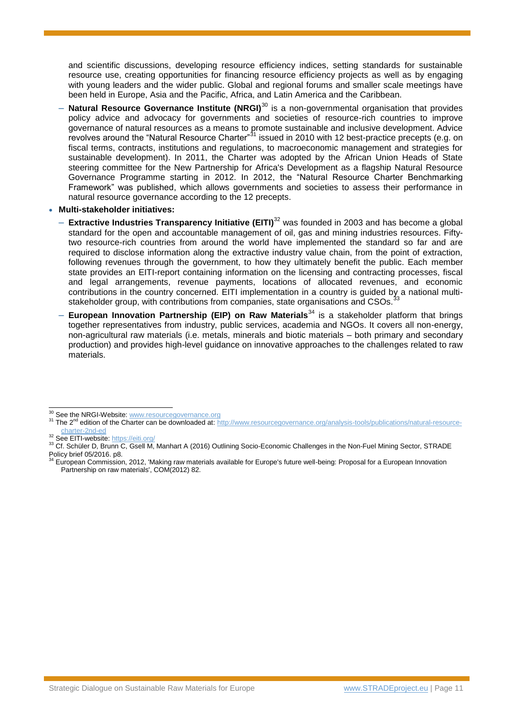and scientific discussions, developing resource efficiency indices, setting standards for sustainable resource use, creating opportunities for financing resource efficiency projects as well as by engaging with young leaders and the wider public. Global and regional forums and smaller scale meetings have been held in Europe, Asia and the Pacific, Africa, and Latin America and the Caribbean.

- ‒ **Natural Resource Governance Institute (NRGI)**<sup>30</sup> is a non-governmental organisation that provides policy advice and advocacy for governments and societies of resource-rich countries to improve governance of natural resources as a means to promote sustainable and inclusive development. Advice revolves around the "Natural Resource Charter"<sup>31</sup> issued in 2010 with 12 best-practice precepts (e.g. on fiscal terms, contracts, institutions and regulations, to macroeconomic management and strategies for sustainable development). In 2011, the Charter was adopted by the African Union Heads of State steering committee for the New Partnership for Africa's Development as a flagship Natural Resource Governance Programme starting in 2012. In 2012, the "Natural Resource Charter Benchmarking Framework" was published, which allows governments and societies to assess their performance in natural resource governance according to the 12 precepts.
- **Multi-stakeholder initiatives:**
	- ‒ **Extractive Industries Transparency Initiative (EITI)**<sup>32</sup> was founded in 2003 and has become a global standard for the open and accountable management of oil, gas and mining industries resources. Fiftytwo resource-rich countries from around the world have implemented the standard so far and are required to disclose information along the extractive industry value chain, from the point of extraction, following revenues through the government, to how they ultimately benefit the public. Each member state provides an EITI-report containing information on the licensing and contracting processes, fiscal and legal arrangements, revenue payments, locations of allocated revenues, and economic contributions in the country concerned. EITI implementation in a country is guided by a national multistakeholder group, with contributions from companies, state organisations and CSOs.<sup>3</sup>
	- ‒ **European Innovation Partnership (EIP) on Raw Materials**<sup>34</sup> is a stakeholder platform that brings together representatives from industry, public services, academia and NGOs. It covers all non-energy, non-agricultural raw materials (i.e. metals, minerals and biotic materials – both primary and secondary production) and provides high-level guidance on innovative approaches to the challenges related to raw materials.

32 See EITI-website:<https://eiti.org/>

l

<sup>&</sup>lt;sup>30</sup> See the NRGI-Website[: www.resourcegovernance.org](http://www.resourcegovernance.org/)

<sup>&</sup>lt;sup>31</sup> The 2<sup>nd</sup> edition of the Charter can be downloaded at[: http://www.resourcegovernance.org/analysis-tools/publications/natural-resource](http://www.resourcegovernance.org/analysis-tools/publications/natural-resource-charter-2nd-ed)[charter-2nd-ed](http://www.resourcegovernance.org/analysis-tools/publications/natural-resource-charter-2nd-ed)

<sup>33</sup> Cf. Schüler D, Brunn C, Gsell M, Manhart A (2016) Outlining Socio-Economic Challenges in the Non-Fuel Mining Sector, STRADE Policy brief 05/2016. p8.

<sup>&</sup>lt;sup>34</sup> European Commission, 2012, 'Making raw materials available for Europe's future well-being: Proposal for a European Innovation Partnership on raw materials', COM(2012) 82.